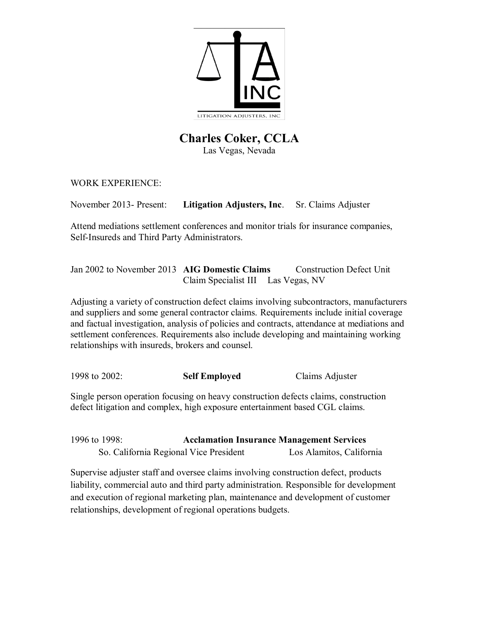

# **Charles Coker, CCLA** Las Vegas, Nevada

WORK EXPERIENCE:

November 2013- Present: **Litigation Adjusters, Inc**. Sr. Claims Adjuster

Attend mediations settlement conferences and monitor trials for insurance companies, Self-Insureds and Third Party Administrators.

Jan 2002 to November 2013 **AIG Domestic Claims** Construction Defect Unit Claim Specialist III Las Vegas, NV

Adjusting a variety of construction defect claims involving subcontractors, manufacturers and suppliers and some general contractor claims. Requirements include initial coverage and factual investigation, analysis of policies and contracts, attendance at mediations and settlement conferences. Requirements also include developing and maintaining working relationships with insureds, brokers and counsel.

1998 to 2002: **Self Employed** Claims Adjuster

Single person operation focusing on heavy construction defects claims, construction defect litigation and complex, high exposure entertainment based CGL claims.

1996 to 1998: **Acclamation Insurance Management Services** So. California Regional Vice President Los Alamitos, California

Supervise adjuster staff and oversee claims involving construction defect, products liability, commercial auto and third party administration. Responsible for development and execution of regional marketing plan, maintenance and development of customer relationships, development of regional operations budgets.